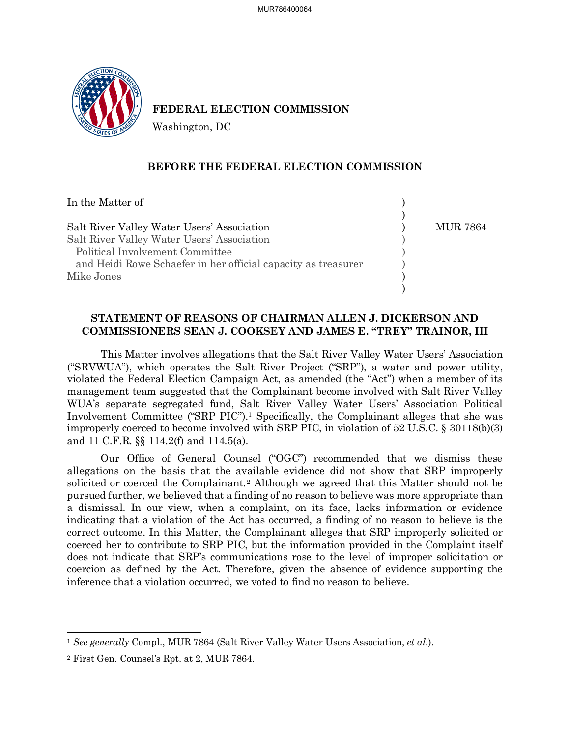

# **FEDERAL ELECTION COMMISSION**

Washington, DC

### **BEFORE THE FEDERAL ELECTION COMMISSION**

| In the Matter of                                              |          |
|---------------------------------------------------------------|----------|
| Salt River Valley Water Users' Association                    | MUR 7864 |
|                                                               |          |
| Salt River Valley Water Users' Association                    |          |
| Political Involvement Committee                               |          |
| and Heidi Rowe Schaefer in her official capacity as treasurer |          |
| Mike Jones                                                    |          |
|                                                               |          |

# **STATEMENT OF REASONS OF CHAIRMAN ALLEN J. DICKERSON AND COMMISSIONERS SEAN J. COOKSEY AND JAMES E. "TREY" TRAINOR, III**

This Matter involves allegations that the Salt River Valley Water Users' Association ("SRVWUA"), which operates the Salt River Project ("SRP"), a water and power utility, violated the Federal Election Campaign Act, as amended (the "Act") when a member of its management team suggested that the Complainant become involved with Salt River Valley WUA's separate segregated fund, Salt River Valley Water Users' Association Political Involvement Committee ("SRP PIC").[1](#page-0-0) Specifically, the Complainant alleges that she was improperly coerced to become involved with SRP PIC, in violation of 52 U.S.C. § 30118(b)(3) and 11 C.F.R. §§ 114.2(f) and 114.5(a).

Our Office of General Counsel ("OGC") recommended that we dismiss these allegations on the basis that the available evidence did not show that SRP improperly solicited or coerced the Complainant.[2](#page-0-1) Although we agreed that this Matter should not be pursued further, we believed that a finding of no reason to believe was more appropriate than a dismissal. In our view, when a complaint, on its face, lacks information or evidence indicating that a violation of the Act has occurred, a finding of no reason to believe is the correct outcome. In this Matter, the Complainant alleges that SRP improperly solicited or coerced her to contribute to SRP PIC, but the information provided in the Complaint itself does not indicate that SRP's communications rose to the level of improper solicitation or coercion as defined by the Act. Therefore, given the absence of evidence supporting the inference that a violation occurred, we voted to find no reason to believe.

<span id="page-0-0"></span><sup>1</sup> *See generally* Compl., MUR 7864 (Salt River Valley Water Users Association, *et al*.).

<span id="page-0-1"></span><sup>2</sup> First Gen. Counsel's Rpt. at 2, MUR 7864.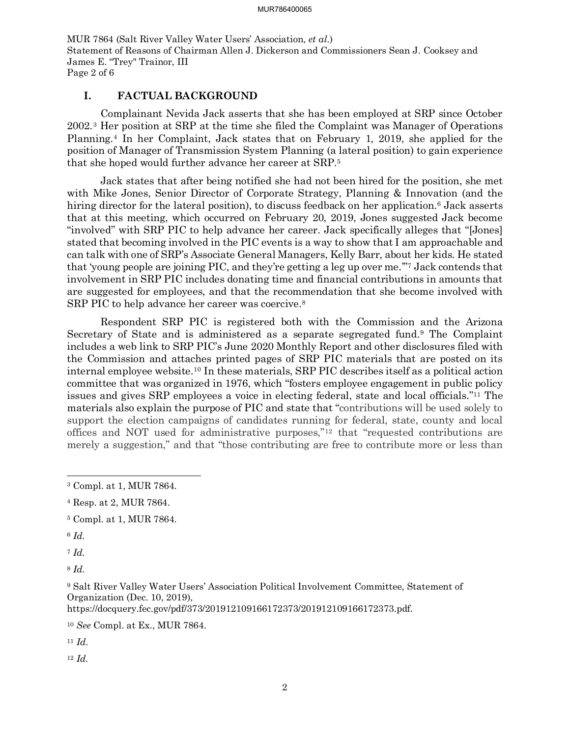MUR 7864 (Salt River Valley Water Users' Association, *et al*.) Statement of Reasons of Chairman Allen J. Dickerson and Commissioners Sean J. Cooksey and James E. "Trey" Trainor, III Page 2 of 6

## **I. FACTUAL BACKGROUND**

Complainant Nevida Jack asserts that she has been employed at SRP since October 2002.[3](#page-1-0) Her position at SRP at the time she filed the Complaint was Manager of Operations Planning.[4](#page-1-1) In her Complaint, Jack states that on February 1, 2019, she applied for the position of Manager of Transmission System Planning (a lateral position) to gain experience that she hoped would further advance her career at SRP[.5](#page-1-2)

Jack states that after being notified she had not been hired for the position, she met with Mike Jones, Senior Director of Corporate Strategy, Planning & Innovation (and the hiring director for the lateral position), to discuss feedback on her application.<sup>[6](#page-1-3)</sup> Jack asserts that at this meeting, which occurred on February 20, 2019, Jones suggested Jack become "involved" with SRP PIC to help advance her career. Jack specifically alleges that "[Jones] stated that becoming involved in the PIC events is a way to show that I am approachable and can talk with one of SRP's Associate General Managers, Kelly Barr, about her kids. He stated that 'young people are joining PIC, and they're getting a leg up over me.'["7](#page-1-4) Jack contends that involvement in SRP PIC includes donating time and financial contributions in amounts that are suggested for employees, and that the recommendation that she become involved with SRP PIC to help advance her career was coercive.<sup>8</sup>

Respondent SRP PIC is registered both with the Commission and the Arizona Secretary of State and is administered as a separate segregated fund[.9](#page-1-6) The Complaint includes a web link to SRP PIC's June 2020 Monthly Report and other disclosures filed with the Commission and attaches printed pages of SRP PIC materials that are posted on its internal employee website.[10](#page-1-7) In these materials, SRP PIC describes itself as a political action committee that was organized in 1976, which "fosters employee engagement in public policy issues and gives SRP employees a voice in electing federal, state and local officials."[11](#page-1-8) The materials also explain the purpose of PIC and state that "contributions will be used solely to support the election campaigns of candidates running for federal, state, county and local offices and NOT used for administrative purposes,"[12](#page-1-9) that "requested contributions are merely a suggestion," and that "those contributing are free to contribute more or less than

- <span id="page-1-2"></span><sup>5</sup> Compl. at 1, MUR 7864.
- <span id="page-1-3"></span><sup>6</sup> *Id.*

<span id="page-1-4"></span><sup>7</sup> *Id.*

<span id="page-1-5"></span><sup>8</sup> *Id.*

<span id="page-1-6"></span><sup>9</sup> Salt River Valley Water Users' Association Political Involvement Committee, Statement of Organization (Dec. 10, 2019),

https://docquery.fec.gov/pdf/373/201912109166172373/201912109166172373.pdf.

<span id="page-1-7"></span><sup>10</sup> *See* Compl. at Ex., MUR 7864.

<span id="page-1-8"></span><sup>11</sup> *Id.*

<span id="page-1-9"></span><sup>12</sup> *Id.*

<span id="page-1-0"></span><sup>3</sup> Compl. at 1, MUR 7864.

<span id="page-1-1"></span><sup>4</sup> Resp. at 2, MUR 7864.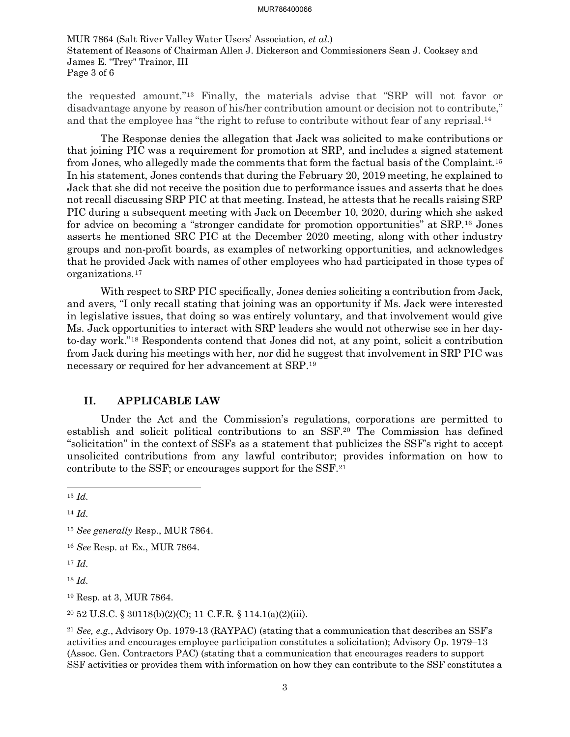MUR 7864 (Salt River Valley Water Users' Association, *et al*.) Statement of Reasons of Chairman Allen J. Dickerson and Commissioners Sean J. Cooksey and James E. "Trey" Trainor, III Page 3 of 6

the requested amount."[13](#page-2-0) Finally, the materials advise that "SRP will not favor or disadvantage anyone by reason of his/her contribution amount or decision not to contribute," and that the employee has "the right to refuse to contribute without fear of any reprisal[.14](#page-2-1)

The Response denies the allegation that Jack was solicited to make contributions or that joining PIC was a requirement for promotion at SRP, and includes a signed statement from Jones, who allegedly made the comments that form the factual basis of the Complaint.[15](#page-2-2) In his statement, Jones contends that during the February 20, 2019 meeting, he explained to Jack that she did not receive the position due to performance issues and asserts that he does not recall discussing SRP PIC at that meeting. Instead, he attests that he recalls raising SRP PIC during a subsequent meeting with Jack on December 10, 2020, during which she asked for advice on becoming a "stronger candidate for promotion opportunities" at SRP.[16](#page-2-3) Jones asserts he mentioned SRC PIC at the December 2020 meeting, along with other industry groups and non-profit boards, as examples of networking opportunities, and acknowledges that he provided Jack with names of other employees who had participated in those types of organizations.[17](#page-2-4)

With respect to SRP PIC specifically, Jones denies soliciting a contribution from Jack, and avers, "I only recall stating that joining was an opportunity if Ms. Jack were interested in legislative issues, that doing so was entirely voluntary, and that involvement would give Ms. Jack opportunities to interact with SRP leaders she would not otherwise see in her dayto-day work."[18](#page-2-5) Respondents contend that Jones did not, at any point, solicit a contribution from Jack during his meetings with her, nor did he suggest that involvement in SRP PIC was necessary or required for her advancement at SRP.[19](#page-2-6)

## **II. APPLICABLE LAW**

Under the Act and the Commission's regulations, corporations are permitted to establish and solicit political contributions to an SSF.[20](#page-2-7) The Commission has defined "solicitation" in the context of SSFs as a statement that publicizes the SSF's right to accept unsolicited contributions from any lawful contributor; provides information on how to contribute to the SSF; or encourages support for the SSF.[21](#page-2-8)

<span id="page-2-4"></span><sup>17</sup> *Id.*

<span id="page-2-5"></span><sup>18</sup> *Id.*

<span id="page-2-6"></span><sup>19</sup> Resp. at 3, MUR 7864.

<span id="page-2-7"></span><sup>20</sup> 52 U.S.C. § 30118(b)(2)(C); 11 C.F.R. § 114.1(a)(2)(iii).

<span id="page-2-8"></span><sup>21</sup> *See, e.g.*, Advisory Op. 1979-13 (RAYPAC) (stating that a communication that describes an SSF's activities and encourages employee participation constitutes a solicitation); Advisory Op. 1979–13 (Assoc. Gen. Contractors PAC) (stating that a communication that encourages readers to support SSF activities or provides them with information on how they can contribute to the SSF constitutes a

<span id="page-2-0"></span><sup>13</sup> *Id.*

<span id="page-2-1"></span><sup>14</sup> *Id.*

<span id="page-2-2"></span><sup>15</sup> *See generally* Resp., MUR 7864.

<span id="page-2-3"></span><sup>16</sup> *See* Resp. at Ex., MUR 7864.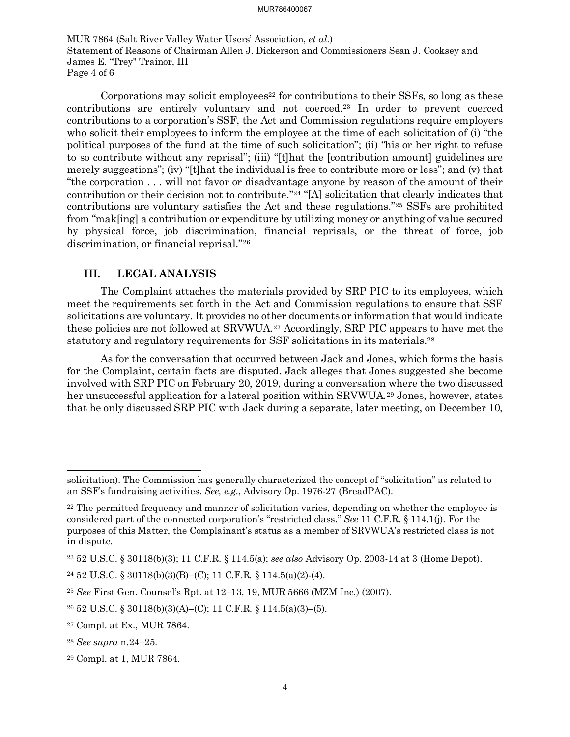MUR 7864 (Salt River Valley Water Users' Association, *et al*.) Statement of Reasons of Chairman Allen J. Dickerson and Commissioners Sean J. Cooksey and James E. "Trey" Trainor, III Page 4 of 6

Corporations may solicit employees<sup>22</sup> for contributions to their SSFs, so long as these contributions are entirely voluntary and not coerced.[23](#page-3-1) In order to prevent coerced contributions to a corporation's SSF, the Act and Commission regulations require employers who solicit their employees to inform the employee at the time of each solicitation of (i) "the political purposes of the fund at the time of such solicitation"; (ii) "his or her right to refuse to so contribute without any reprisal"; (iii) "[t]hat the [contribution amount] guidelines are merely suggestions"; (iv) "[t]hat the individual is free to contribute more or less"; and (v) that "the corporation . . . will not favor or disadvantage anyone by reason of the amount of their contribution or their decision not to contribute.["24](#page-3-2) "[A] solicitation that clearly indicates that contributions are voluntary satisfies the Act and these regulations."[25](#page-3-3) SSFs are prohibited from "mak[ing] a contribution or expenditure by utilizing money or anything of value secured by physical force, job discrimination, financial reprisals, or the threat of force, job discrimination, or financial reprisal."[26](#page-3-4)

## **III. LEGAL ANALYSIS**

The Complaint attaches the materials provided by SRP PIC to its employees, which meet the requirements set forth in the Act and Commission regulations to ensure that SSF solicitations are voluntary. It provides no other documents or information that would indicate these policies are not followed at SRVWUA.[27](#page-3-5) Accordingly, SRP PIC appears to have met the statutory and regulatory requirements for SSF solicitations in its materials.[28](#page-3-6)

As for the conversation that occurred between Jack and Jones, which forms the basis for the Complaint, certain facts are disputed. Jack alleges that Jones suggested she become involved with SRP PIC on February 20, 2019, during a conversation where the two discussed her unsuccessful application for a lateral position within SRVWUA.[29](#page-3-7) Jones, however, states that he only discussed SRP PIC with Jack during a separate, later meeting, on December 10,

solicitation). The Commission has generally characterized the concept of "solicitation" as related to an SSF's fundraising activities. *See, e.g.*, Advisory Op. 1976-27 (BreadPAC).

<span id="page-3-0"></span> $22$  The permitted frequency and manner of solicitation varies, depending on whether the employee is considered part of the connected corporation's "restricted class." *See* 11 C.F.R. § 114.1(j). For the purposes of this Matter, the Complainant's status as a member of SRVWUA's restricted class is not in dispute.

<span id="page-3-1"></span><sup>23</sup> 52 U.S.C. § 30118(b)(3); 11 C.F.R. § 114.5(a); *see also* Advisory Op. 2003-14 at 3 (Home Depot).

<span id="page-3-2"></span><sup>24</sup> 52 U.S.C. § 30118(b)(3)(B)–(C); 11 C.F.R*.* § 114.5(a)(2)-(4).

<span id="page-3-3"></span><sup>25</sup> *See* First Gen. Counsel's Rpt. at 12–13, 19, MUR 5666 (MZM Inc.) (2007).

<span id="page-3-4"></span><sup>26</sup> 52 U.S.C. § 30118(b)(3)(A)–(C); 11 C.F.R. § 114.5(a)(3)–(5).

<span id="page-3-5"></span><sup>27</sup> Compl. at Ex., MUR 7864.

<span id="page-3-6"></span><sup>28</sup> *See supra* n.24–25.

<span id="page-3-7"></span><sup>29</sup> Compl. at 1, MUR 7864.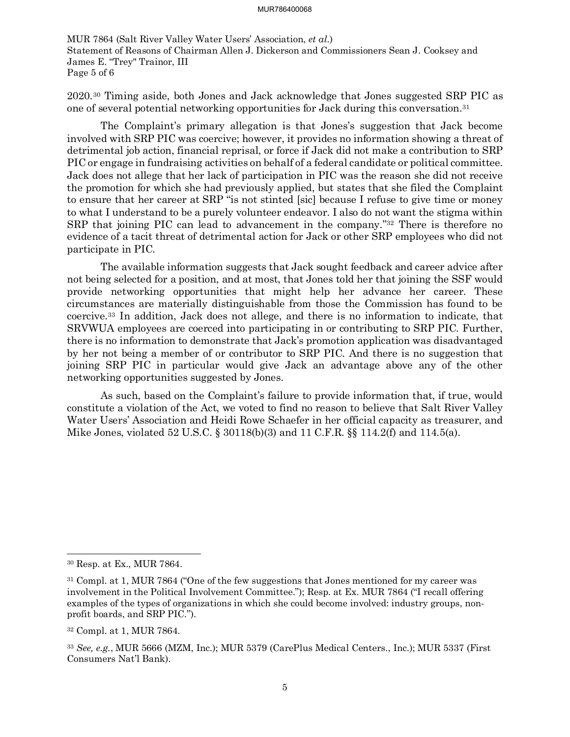MUR 7864 (Salt River Valley Water Users' Association, *et al*.) Statement of Reasons of Chairman Allen J. Dickerson and Commissioners Sean J. Cooksey and James E. "Trey" Trainor, III Page 5 of 6

2020.[30](#page-4-0) Timing aside, both Jones and Jack acknowledge that Jones suggested SRP PIC as one of several potential networking opportunities for Jack during this conversation.[31](#page-4-1)

The Complaint's primary allegation is that Jones's suggestion that Jack become involved with SRP PIC was coercive; however, it provides no information showing a threat of detrimental job action, financial reprisal, or force if Jack did not make a contribution to SRP PIC or engage in fundraising activities on behalf of a federal candidate or political committee. Jack does not allege that her lack of participation in PIC was the reason she did not receive the promotion for which she had previously applied, but states that she filed the Complaint to ensure that her career at SRP "is not stinted [sic] because I refuse to give time or money to what I understand to be a purely volunteer endeavor. I also do not want the stigma within SRP that joining PIC can lead to advancement in the company.["32](#page-4-2) There is therefore no evidence of a tacit threat of detrimental action for Jack or other SRP employees who did not participate in PIC.

The available information suggests that Jack sought feedback and career advice after not being selected for a position, and at most, that Jones told her that joining the SSF would provide networking opportunities that might help her advance her career. These circumstances are materially distinguishable from those the Commission has found to be coercive.[33](#page-4-3) In addition, Jack does not allege, and there is no information to indicate, that SRVWUA employees are coerced into participating in or contributing to SRP PIC. Further, there is no information to demonstrate that Jack's promotion application was disadvantaged by her not being a member of or contributor to SRP PIC. And there is no suggestion that joining SRP PIC in particular would give Jack an advantage above any of the other networking opportunities suggested by Jones.

As such, based on the Complaint's failure to provide information that, if true, would constitute a violation of the Act, we voted to find no reason to believe that Salt River Valley Water Users' Association and Heidi Rowe Schaefer in her official capacity as treasurer, and Mike Jones, violated 52 U.S.C. § 30118(b)(3) and 11 C.F.R. §§ 114.2(f) and 114.5(a).

<span id="page-4-0"></span><sup>30</sup> Resp. at Ex., MUR 7864.

<span id="page-4-1"></span><sup>31</sup> Compl. at 1, MUR 7864 ("One of the few suggestions that Jones mentioned for my career was involvement in the Political Involvement Committee."); Resp. at Ex. MUR 7864 ("I recall offering examples of the types of organizations in which she could become involved: industry groups, nonprofit boards, and SRP PIC.").

<span id="page-4-2"></span><sup>32</sup> Compl. at 1, MUR 7864.

<span id="page-4-3"></span><sup>33</sup> *See, e.g.*, MUR 5666 (MZM, Inc.); MUR 5379 (CarePlus Medical Centers., Inc.); MUR 5337 (First Consumers Nat'l Bank).